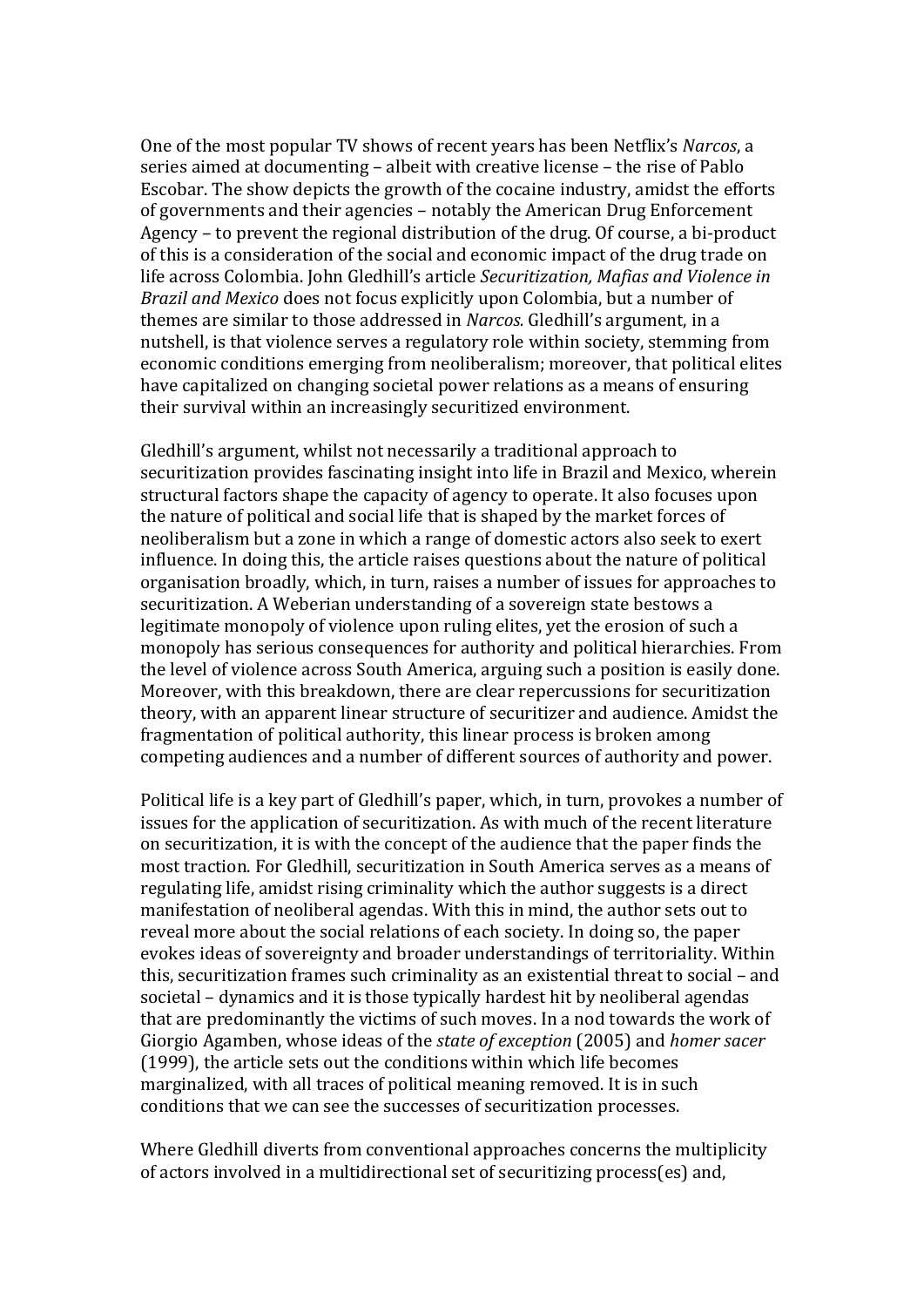One of the most popular TV shows of recent years has been Netflix's Narcos, a series aimed at documenting – albeit with creative license – the rise of Pablo Escobar. The show depicts the growth of the cocaine industry, amidst the efforts of governments and their agencies – notably the American Drug Enforcement Agency – to prevent the regional distribution of the drug. Of course, a bi-product of this is a consideration of the social and economic impact of the drug trade on life across Colombia. John Gledhill's article *Securitization, Mafias and Violence in Brazil and Mexico* does not focus explicitly upon Colombia, but a number of themes are similar to those addressed in *Narcos*. Gledhill's argument, in a nutshell, is that violence serves a regulatory role within society, stemming from economic conditions emerging from neoliberalism; moreover, that political elites have capitalized on changing societal power relations as a means of ensuring their survival within an increasingly securitized environment.

Gledhill's argument, whilst not necessarily a traditional approach to securitization provides fascinating insight into life in Brazil and Mexico, wherein structural factors shape the capacity of agency to operate. It also focuses upon the nature of political and social life that is shaped by the market forces of neoliberalism but a zone in which a range of domestic actors also seek to exert influence. In doing this, the article raises questions about the nature of political organisation broadly, which, in turn, raises a number of issues for approaches to securitization. A Weberian understanding of a sovereign state bestows a legitimate monopoly of violence upon ruling elites, yet the erosion of such a monopoly has serious consequences for authority and political hierarchies. From the level of violence across South America, arguing such a position is easily done. Moreover, with this breakdown, there are clear repercussions for securitization theory, with an apparent linear structure of securitizer and audience. Amidst the fragmentation of political authority, this linear process is broken among competing audiences and a number of different sources of authority and power.

Political life is a key part of Gledhill's paper, which, in turn, provokes a number of issues for the application of securitization. As with much of the recent literature on securitization, it is with the concept of the audience that the paper finds the most traction. For Gledhill, securitization in South America serves as a means of regulating life, amidst rising criminality which the author suggests is a direct manifestation of neoliberal agendas. With this in mind, the author sets out to reveal more about the social relations of each society. In doing so, the paper evokes ideas of sovereignty and broader understandings of territoriality. Within this, securitization frames such criminality as an existential threat to social - and societal – dynamics and it is those typically hardest hit by neoliberal agendas that are predominantly the victims of such moves. In a nod towards the work of Giorgio Agamben, whose ideas of the *state of exception* (2005) and *homer sacer* (1999), the article sets out the conditions within which life becomes marginalized, with all traces of political meaning removed. It is in such conditions that we can see the successes of securitization processes.

Where Gledhill diverts from conventional approaches concerns the multiplicity of actors involved in a multidirectional set of securitizing process(es) and,